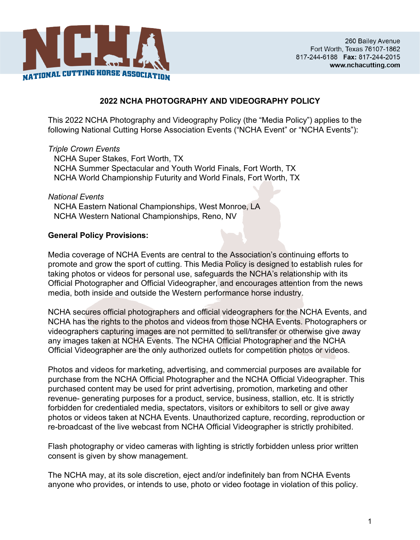

## **2022 NCHA PHOTOGRAPHY AND VIDEOGRAPHY POLICY**

This 2022 NCHA Photography and Videography Policy (the "Media Policy") applies to the following National Cutting Horse Association Events ("NCHA Event" or "NCHA Events"):

#### *Triple Crown Events*

NCHA Super Stakes, Fort Worth, TX NCHA Summer Spectacular and Youth World Finals, Fort Worth, TX NCHA World Championship Futurity and World Finals, Fort Worth, TX

### *National Events* NCHA Eastern National Championships, West Monroe, LA NCHA Western National Championships, Reno, NV

#### **General Policy Provisions:**

Media coverage of NCHA Events are central to the Association's continuing efforts to promote and grow the sport of cutting. This Media Policy is designed to establish rules for taking photos or videos for personal use, safeguards the NCHA's relationship with its Official Photographer and Official Videographer, and encourages attention from the news media, both inside and outside the Western performance horse industry.

NCHA secures official photographers and official videographers for the NCHA Events, and NCHA has the rights to the photos and videos from those NCHA Events. Photographers or videographers capturing images are not permitted to sell/transfer or otherwise give away any images taken at NCHA Events. The NCHA Official Photographer and the NCHA Official Videographer are the only authorized outlets for competition photos or videos.

Photos and videos for marketing, advertising, and commercial purposes are available for purchase from the NCHA Official Photographer and the NCHA Official Videographer. This purchased content may be used for print advertising, promotion, marketing and other revenue- generating purposes for a product, service, business, stallion, etc. It is strictly forbidden for credentialed media, spectators, visitors or exhibitors to sell or give away photos or videos taken at NCHA Events. Unauthorized capture, recording, reproduction or re-broadcast of the live webcast from NCHA Official Videographer is strictly prohibited.

Flash photography or video cameras with lighting is strictly forbidden unless prior written consent is given by show management.

The NCHA may, at its sole discretion, eject and/or indefinitely ban from NCHA Events anyone who provides, or intends to use, photo or video footage in violation of this policy.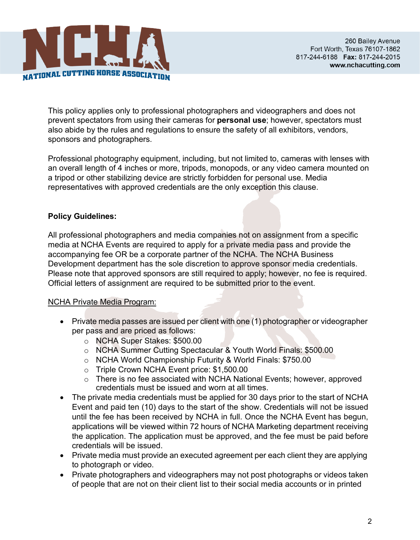

This policy applies only to professional photographers and videographers and does not prevent spectators from using their cameras for **personal use**; however, spectators must also abide by the rules and regulations to ensure the safety of all exhibitors, vendors, sponsors and photographers.

Professional photography equipment, including, but not limited to, cameras with lenses with an overall length of 4 inches or more, tripods, monopods, or any video camera mounted on a tripod or other stabilizing device are strictly forbidden for personal use. Media representatives with approved credentials are the only exception this clause.

# **Policy Guidelines:**

All professional photographers and media companies not on assignment from a specific media at NCHA Events are required to apply for a private media pass and provide the accompanying fee OR be a corporate partner of the NCHA. The NCHA Business Development department has the sole discretion to approve sponsor media credentials. Please note that approved sponsors are still required to apply; however, no fee is required. Official letters of assignment are required to be submitted prior to the event.

### NCHA Private Media Program:

- Private media passes are issued per client with one (1) photographer or videographer per pass and are priced as follows:
	- o NCHA Super Stakes: \$500.00
	- o NCHA Summer Cutting Spectacular & Youth World Finals: \$500.00
	- o NCHA World Championship Futurity & World Finals: \$750.00
	- o Triple Crown NCHA Event price: \$1,500.00
	- o There is no fee associated with NCHA National Events; however, approved credentials must be issued and worn at all times.
- The private media credentials must be applied for 30 days prior to the start of NCHA Event and paid ten (10) days to the start of the show. Credentials will not be issued until the fee has been received by NCHA in full. Once the NCHA Event has begun, applications will be viewed within 72 hours of NCHA Marketing department receiving the application. The application must be approved, and the fee must be paid before credentials will be issued.
- Private media must provide an executed agreement per each client they are applying to photograph or video.
- Private photographers and videographers may not post photographs or videos taken of people that are not on their client list to their social media accounts or in printed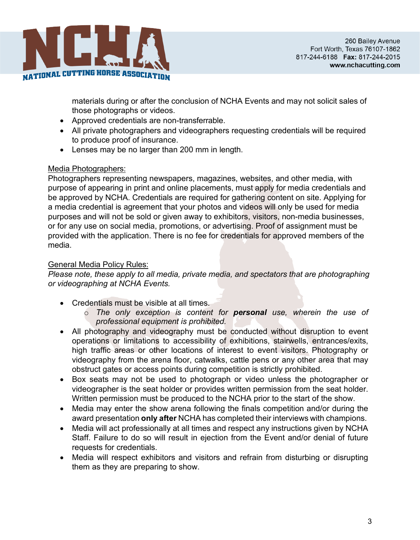

materials during or after the conclusion of NCHA Events and may not solicit sales of those photographs or videos.

- Approved credentials are non-transferrable.
- All private photographers and videographers requesting credentials will be required to produce proof of insurance.
- Lenses may be no larger than 200 mm in length.

## Media Photographers:

Photographers representing newspapers, magazines, websites, and other media, with purpose of appearing in print and online placements, must apply for media credentials and be approved by NCHA. Credentials are required for gathering content on site. Applying for a media credential is agreement that your photos and videos will only be used for media purposes and will not be sold or given away to exhibitors, visitors, non-media businesses, or for any use on social media, promotions, or advertising. Proof of assignment must be provided with the application. There is no fee for credentials for approved members of the media.

## General Media Policy Rules:

*Please note, these apply to all media, private media, and spectators that are photographing or videographing at NCHA Events.*

- Credentials must be visible at all times.
	- o *The only exception is content for personal use, wherein the use of professional equipment is prohibited.*
- All photography and videography must be conducted without disruption to event operations or limitations to accessibility of exhibitions, stairwells, entrances/exits, high traffic areas or other locations of interest to event visitors. Photography or videography from the arena floor, catwalks, cattle pens or any other area that may obstruct gates or access points during competition is strictly prohibited.
- Box seats may not be used to photograph or video unless the photographer or videographer is the seat holder or provides written permission from the seat holder. Written permission must be produced to the NCHA prior to the start of the show.
- Media may enter the show arena following the finals competition and/or during the award presentation **only after** NCHA has completed their interviews with champions.
- Media will act professionally at all times and respect any instructions given by NCHA Staff. Failure to do so will result in ejection from the Event and/or denial of future requests for credentials.
- Media will respect exhibitors and visitors and refrain from disturbing or disrupting them as they are preparing to show.